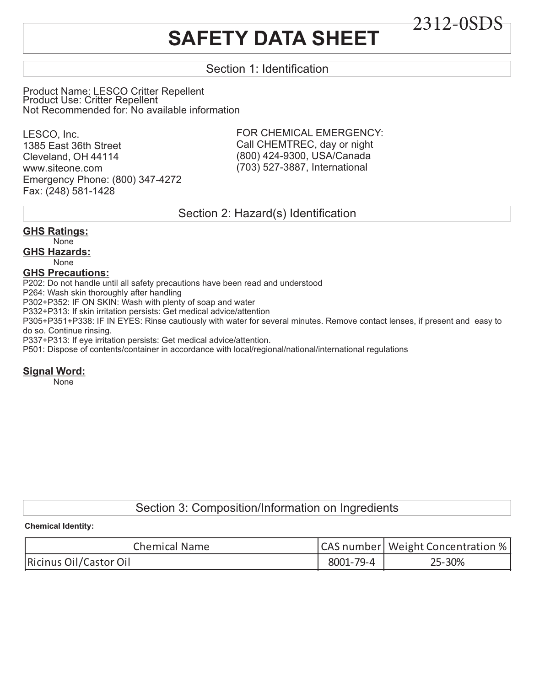# **SAFETY DATA SHEET**

# Section 1: Identification

Product Name: LESCO Critter Repellent Product Use: Critter Repellent Not Recommended for: No available information

LESCO, Inc. 1385 East 36th Street Cleveland, OH 44114 www.siteone.com Emergency Phone: (800) 347-4272 Fax: (248) 581-1428

FOR CHEMICAL EMERGENCY: Call CHEMTREC, day or night (800) 424-9300, USA/Canada (703) 527-3887, International

2312-0SDS

## Section 2: Hazard(s) Identification

## **GHS Ratings:**

None **GHS Hazards:**

None

### **GHS Precautions:**

P202: Do not handle until all safety precautions have been read and understood

P264: Wash skin thoroughly after handling

P302+P352: IF ON SKIN: Wash with plenty of soap and water

P332+P313: If skin irritation persists: Get medical advice/attention

P305+P351+P338: IF IN EYES: Rinse cautiously with water for several minutes. Remove contact lenses, if present and easy to do so. Continue rinsing.

P337+P313: If eye irritation persists: Get medical advice/attention.

P501: Dispose of contents/container in accordance with local/regional/national/international regulations

#### **Signal Word:**

None

# Section 3: Composition/Information on Ingredients

#### **Chemical Identity:**

| <b>Chemical Name</b>   |           | CAS number   Weight Concentration % |
|------------------------|-----------|-------------------------------------|
| Ricinus Oil/Castor Oil | 8001-79-4 | 25-30%                              |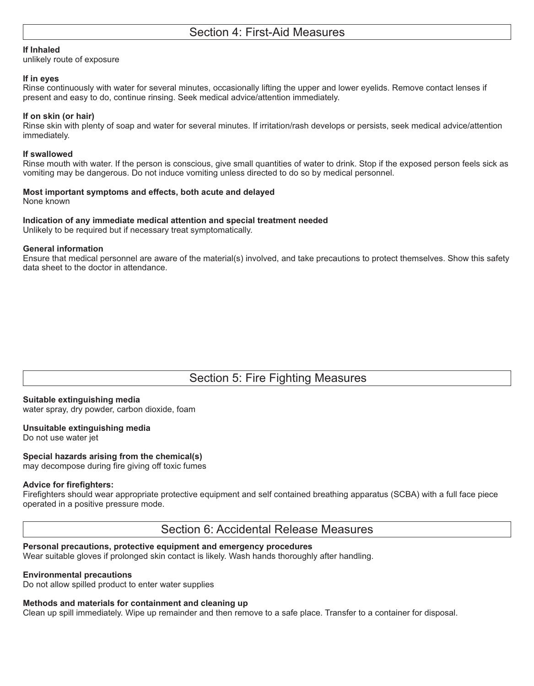#### **If Inhaled**

unlikely route of exposure

#### **If in eyes**

Rinse continuously with water for several minutes, occasionally lifting the upper and lower eyelids. Remove contact lenses if present and easy to do, continue rinsing. Seek medical advice/attention immediately.

#### **If on skin (or hair)**

Rinse skin with plenty of soap and water for several minutes. If irritation/rash develops or persists, seek medical advice/attention immediately.

#### **If swallowed**

Rinse mouth with water. If the person is conscious, give small quantities of water to drink. Stop if the exposed person feels sick as vomiting may be dangerous. Do not induce vomiting unless directed to do so by medical personnel.

#### **Most important symptoms and effects, both acute and delayed**

None known

#### **Indication of any immediate medical attention and special treatment needed**

Unlikely to be required but if necessary treat symptomatically.

#### **General information**

Ensure that medical personnel are aware of the material(s) involved, and take precautions to protect themselves. Show this safety data sheet to the doctor in attendance.

# Section 5: Fire Fighting Measures

#### **Suitable extinguishing media**

water spray, dry powder, carbon dioxide, foam

## **Unsuitable extinguishing media**

Do not use water jet

#### **Special hazards arising from the chemical(s)**

may decompose during fire giving off toxic fumes

#### **Advice for firefighters:**

Firefighters should wear appropriate protective equipment and self contained breathing apparatus (SCBA) with a full face piece operated in a positive pressure mode.

Section 6: Accidental Release Measures

#### **Personal precautions, protective equipment and emergency procedures**

Wear suitable gloves if prolonged skin contact is likely. Wash hands thoroughly after handling.

#### **Environmental precautions**

Do not allow spilled product to enter water supplies

#### **Methods and materials for containment and cleaning up**

Clean up spill immediately. Wipe up remainder and then remove to a safe place. Transfer to a container for disposal.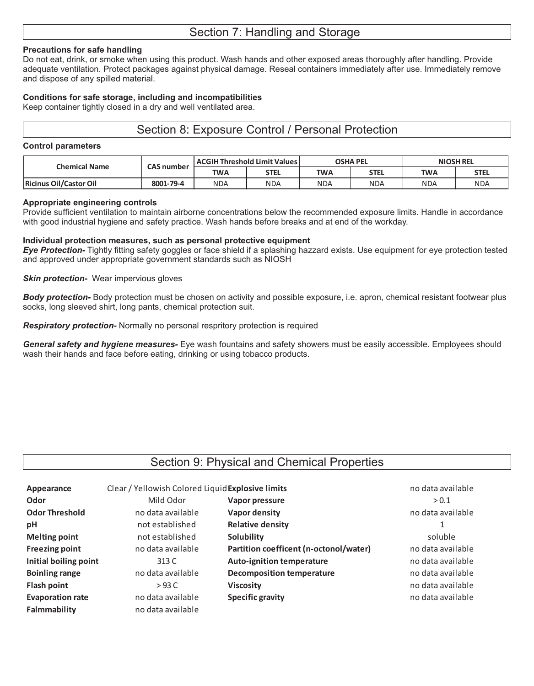#### **Precautions for safe handling**

Do not eat, drink, or smoke when using this product. Wash hands and other exposed areas thoroughly after handling. Provide adequate ventilation. Protect packages against physical damage. Reseal containers immediately after use. Immediately remove and dispose of any spilled material.

#### **Conditions for safe storage, including and incompatibilities**

Keep container tightly closed in a dry and well ventilated area.

## Section 8: Exposure Control / Personal Protection

#### **Control parameters**

| Chemical Name                 | <b>CAS number</b> | ACGIH Threshold Limit Values |      | <b>OSHA PEL</b> |            | <b>NIOSH REL</b> |             |
|-------------------------------|-------------------|------------------------------|------|-----------------|------------|------------------|-------------|
|                               |                   | <b>TWA</b>                   | STEL | <b>TWA</b>      | STEL       | <b>TWA</b>       | <b>STEL</b> |
| <b>Ricinus Oil/Castor Oil</b> | 8001-79-4         | <b>NDA</b>                   | NDA  | <b>NDA</b>      | <b>NDA</b> | NDA              | <b>NDA</b>  |

#### **Appropriate engineering controls**

Provide sufficient ventilation to maintain airborne concentrations below the recommended exposure limits. Handle in accordance with good industrial hygiene and safety practice. Wash hands before breaks and at end of the workday.

#### **Individual protection measures, such as personal protective equipment**

*Eye Protection-* Tightly fitting safety goggles or face shield if a splashing hazzard exists. Use equipment for eye protection tested and approved under appropriate government standards such as NIOSH

#### *Skin protection-* Wear impervious gloves

*Body protection-* Body protection must be chosen on activity and possible exposure, i.e. apron, chemical resistant footwear plus socks, long sleeved shirt, long pants, chemical protection suit.

*Respiratory protection-* Normally no personal respritory protection is required

*General safety and hygiene measures-* Eye wash fountains and safety showers must be easily accessible. Employees should wash their hands and face before eating, drinking or using tobacco products.

## Section 9: Physical and Chemical Properties

| Appearance              | Clear / Yellowish Colored Liquid Explosive limits |                                        | no data available |  |
|-------------------------|---------------------------------------------------|----------------------------------------|-------------------|--|
| Odor                    | Mild Odor                                         | Vapor pressure                         | > 0.1             |  |
| <b>Odor Threshold</b>   | no data available                                 | Vapor density                          | no data available |  |
| pH                      | not established                                   | <b>Relative density</b>                | 1                 |  |
| <b>Melting point</b>    | not established                                   | Solubility                             | soluble           |  |
| <b>Freezing point</b>   | no data available                                 | Partition coefficent (n-octonol/water) | no data available |  |
| Initial boiling point   | 313 C                                             | <b>Auto-ignition temperature</b>       | no data available |  |
| <b>Boinling range</b>   | no data available                                 | <b>Decomposition temperature</b>       | no data available |  |
| <b>Flash point</b>      | >93 <sub>C</sub>                                  | <b>Viscosity</b>                       | no data available |  |
| <b>Evaporation rate</b> | no data available                                 | <b>Specific gravity</b>                | no data available |  |
| Falmmability            | no data available                                 |                                        |                   |  |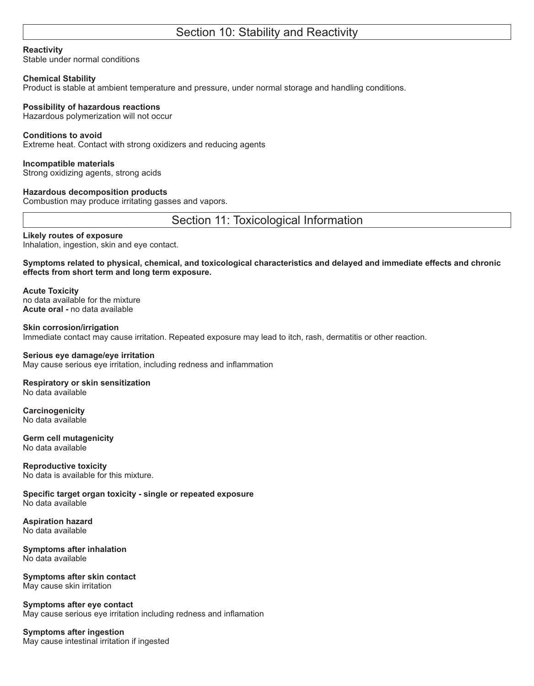# Section 10: Stability and Reactivity

#### **Reactivity**

Stable under normal conditions

#### **Chemical Stability**

Product is stable at ambient temperature and pressure, under normal storage and handling conditions.

#### **Possibility of hazardous reactions**

Hazardous polymerization will not occur

#### **Conditions to avoid**

Extreme heat. Contact with strong oxidizers and reducing agents

#### **Incompatible materials**

Strong oxidizing agents, strong acids

#### **Hazardous decomposition products**

Combustion may produce irritating gasses and vapors.

Section 11: Toxicological Information

#### **Likely routes of exposure**

Inhalation, ingestion, skin and eye contact.

**Symptoms related to physical, chemical, and toxicological characteristics and delayed and immediate effects and chronic effects from short term and long term exposure.**

**Acute Toxicity** no data available for the mixture **Acute oral -** no data available

**Skin corrosion/irrigation** Immediate contact may cause irritation. Repeated exposure may lead to itch, rash, dermatitis or other reaction.

#### **Serious eye damage/eye irritation**

May cause serious eye irritation, including redness and inflammation

#### **Respiratory or skin sensitization** No data available

**Carcinogenicity** No data available

**Germ cell mutagenicity** No data available

**Reproductive toxicity** No data is available for this mixture.

**Specific target organ toxicity - single or repeated exposure** No data available

**Aspiration hazard** No data available

**Symptoms after inhalation** No data available

**Symptoms after skin contact**  May cause skin irritation

**Symptoms after eye contact** May cause serious eye irritation including redness and inflamation

#### **Symptoms after ingestion** May cause intestinal irritation if ingested